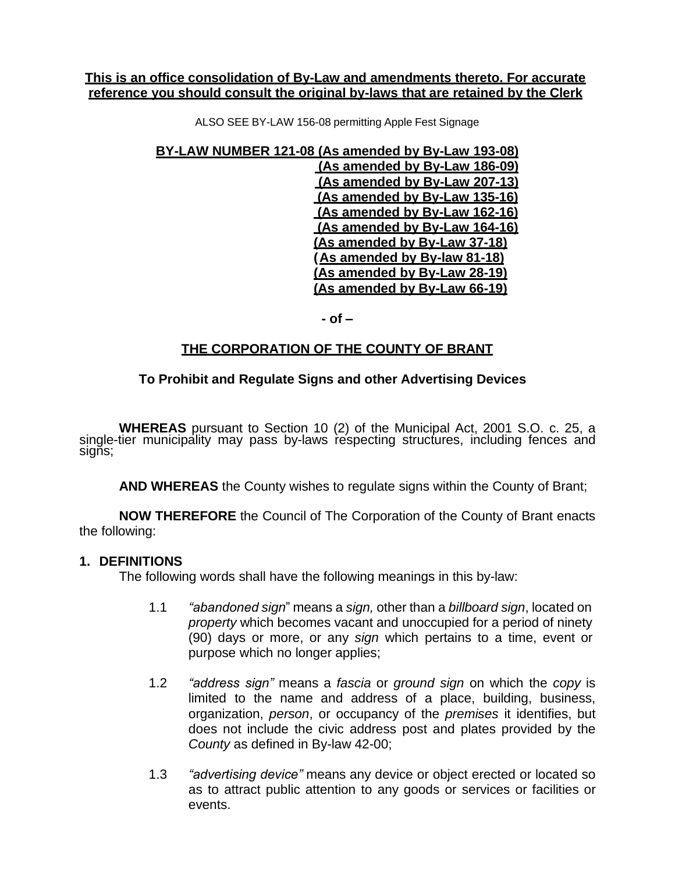#### **This is an office consolidation of By-Law and amendments thereto. For accurate reference you should consult the original by-laws that are retained by the Clerk**

ALSO SEE BY-LAW 156-08 permitting Apple Fest Signage

**BY-LAW NUMBER 121-08 (As amended by By-Law 193-08)**

**(As amended by By-Law 186-09) (As amended by By-Law 207-13) (As amended by By-Law 135-16) (As amended by By-Law 162-16) (As amended by By-Law 164-16) (As amended by By-Law 37-18) (As amended by By-law 81-18) (As amended by By-Law 28-19) (As amended by By-Law 66-19)**

**- of –**

## **THE CORPORATION OF THE COUNTY OF BRANT**

## **To Prohibit and Regulate Signs and other Advertising Devices**

**WHEREAS** pursuant to Section 10 (2) of the Municipal Act, 2001 S.O. c. 25, a single-tier municipality may pass by-laws respecting structures, including fences and signs;

**AND WHEREAS** the County wishes to regulate signs within the County of Brant;

**NOW THEREFORE** the Council of The Corporation of the County of Brant enacts the following:

#### **1. DEFINITIONS**

The following words shall have the following meanings in this by-law:

- 1.1 *"abandoned sign*" means a *sign,* other than a *billboard sign*, located on *property* which becomes vacant and unoccupied for a period of ninety (90) days or more, or any *sign* which pertains to a time, event or purpose which no longer applies;
- 1.2 *"address sign"* means a *fascia* or *ground sign* on which the *copy* is limited to the name and address of a place, building, business, organization, *person*, or occupancy of the *premises* it identifies, but does not include the civic address post and plates provided by the *County* as defined in By-law 42-00;
- 1.3 *"advertising device"* means any device or object erected or located so as to attract public attention to any goods or services or facilities or events.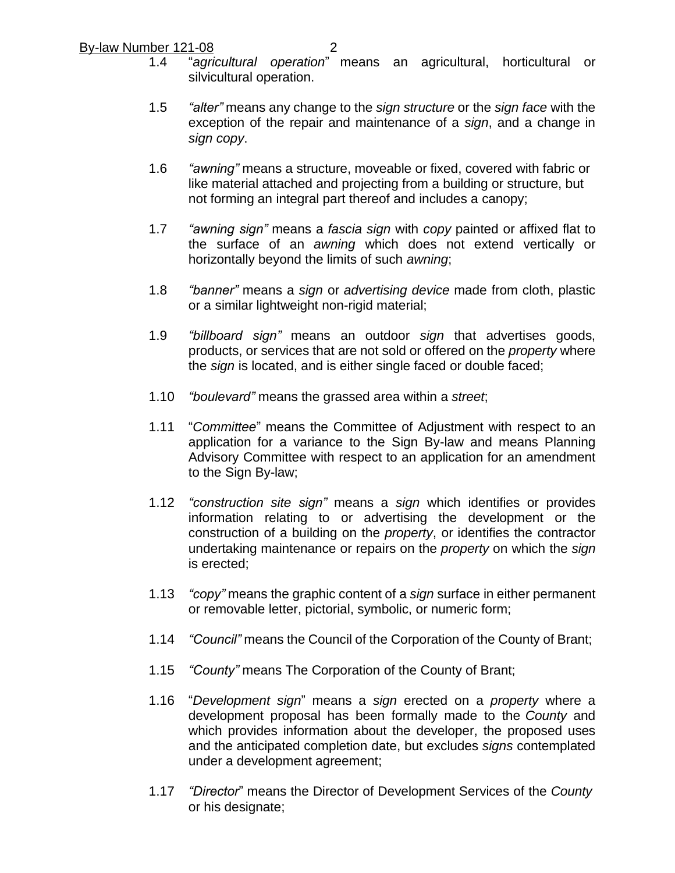- 1.4 "*agricultural operation*" means an agricultural, horticultural or silvicultural operation.
- 1.5 *"alter"* means any change to the *sign structure* or the *sign face* with the exception of the repair and maintenance of a *sign*, and a change in *sign copy*.
- 1.6 *"awning"* means a structure, moveable or fixed, covered with fabric or like material attached and projecting from a building or structure, but not forming an integral part thereof and includes a canopy;
- 1.7 *"awning sign"* means a *fascia sign* with *copy* painted or affixed flat to the surface of an *awning* which does not extend vertically or horizontally beyond the limits of such *awning*;
- 1.8 *"banner"* means a *sign* or *advertising device* made from cloth, plastic or a similar lightweight non-rigid material;
- 1.9 *"billboard sign"* means an outdoor *sign* that advertises goods, products, or services that are not sold or offered on the *property* where the *sign* is located, and is either single faced or double faced;
- 1.10 *"boulevard"* means the grassed area within a *street*;
- 1.11 "*Committee*" means the Committee of Adjustment with respect to an application for a variance to the Sign By-law and means Planning Advisory Committee with respect to an application for an amendment to the Sign By-law;
- 1.12 *"construction site sign"* means a *sign* which identifies or provides information relating to or advertising the development or the construction of a building on the *property*, or identifies the contractor undertaking maintenance or repairs on the *property* on which the *sign* is erected;
- 1.13 *"copy"* means the graphic content of a *sign* surface in either permanent or removable letter, pictorial, symbolic, or numeric form;
- 1.14 *"Council"* means the Council of the Corporation of the County of Brant;
- 1.15 *"County"* means The Corporation of the County of Brant;
- 1.16 "*Development sign*" means a *sign* erected on a *property* where a development proposal has been formally made to the *County* and which provides information about the developer, the proposed uses and the anticipated completion date, but excludes *signs* contemplated under a development agreement;
- 1.17 *"Director*" means the Director of Development Services of the *County* or his designate;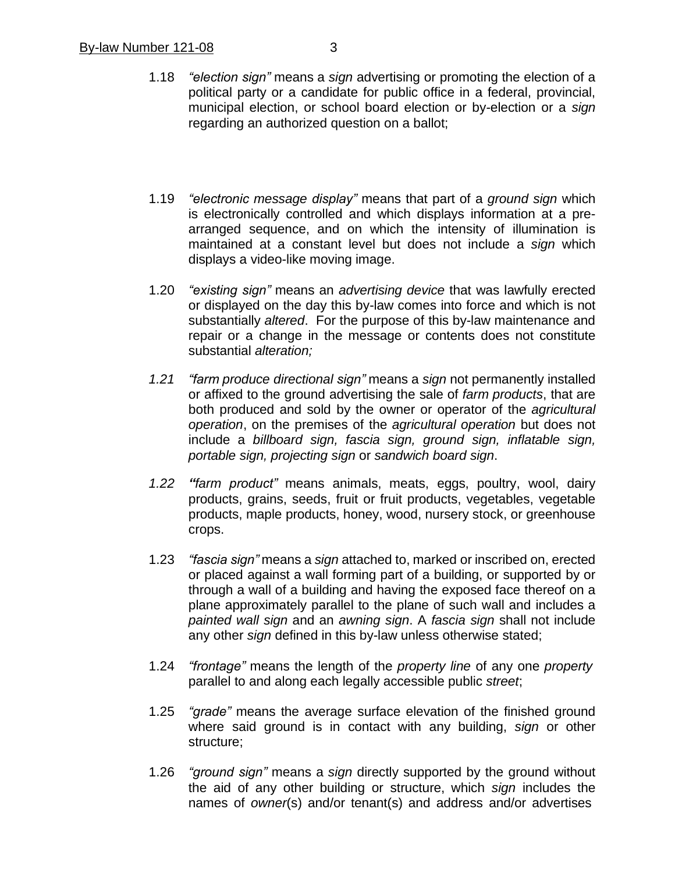- 1.18 *"election sign"* means a *sign* advertising or promoting the election of a political party or a candidate for public office in a federal, provincial, municipal election, or school board election or by-election or a *sign* regarding an authorized question on a ballot;
- 1.19 *"electronic message display"* means that part of a *ground sign* which is electronically controlled and which displays information at a prearranged sequence, and on which the intensity of illumination is maintained at a constant level but does not include a *sign* which displays a video-like moving image.
- 1.20 *"existing sign"* means an *advertising device* that was lawfully erected or displayed on the day this by-law comes into force and which is not substantially *altered*. For the purpose of this by-law maintenance and repair or a change in the message or contents does not constitute substantial *alteration;*
- *1.21 "farm produce directional sign"* means a *sign* not permanently installed or affixed to the ground advertising the sale of *farm products*, that are both produced and sold by the owner or operator of the *agricultural operation*, on the premises of the *agricultural operation* but does not include a *billboard sign, fascia sign, ground sign, inflatable sign, portable sign, projecting sign* or *sandwich board sign*.
- *1.22 "farm product"* means animals, meats, eggs, poultry, wool, dairy products, grains, seeds, fruit or fruit products, vegetables, vegetable products, maple products, honey, wood, nursery stock, or greenhouse crops.
- 1.23 *"fascia sign"* means a *sign* attached to, marked or inscribed on, erected or placed against a wall forming part of a building, or supported by or through a wall of a building and having the exposed face thereof on a plane approximately parallel to the plane of such wall and includes a *painted wall sign* and an *awning sign*. A *fascia sign* shall not include any other *sign* defined in this by-law unless otherwise stated;
- 1.24 *"frontage"* means the length of the *property line* of any one *property* parallel to and along each legally accessible public *street*;
- 1.25 *"grade"* means the average surface elevation of the finished ground where said ground is in contact with any building, *sign* or other structure;
- 1.26 *"ground sign"* means a *sign* directly supported by the ground without the aid of any other building or structure, which *sign* includes the names of *owner*(s) and/or tenant(s) and address and/or advertises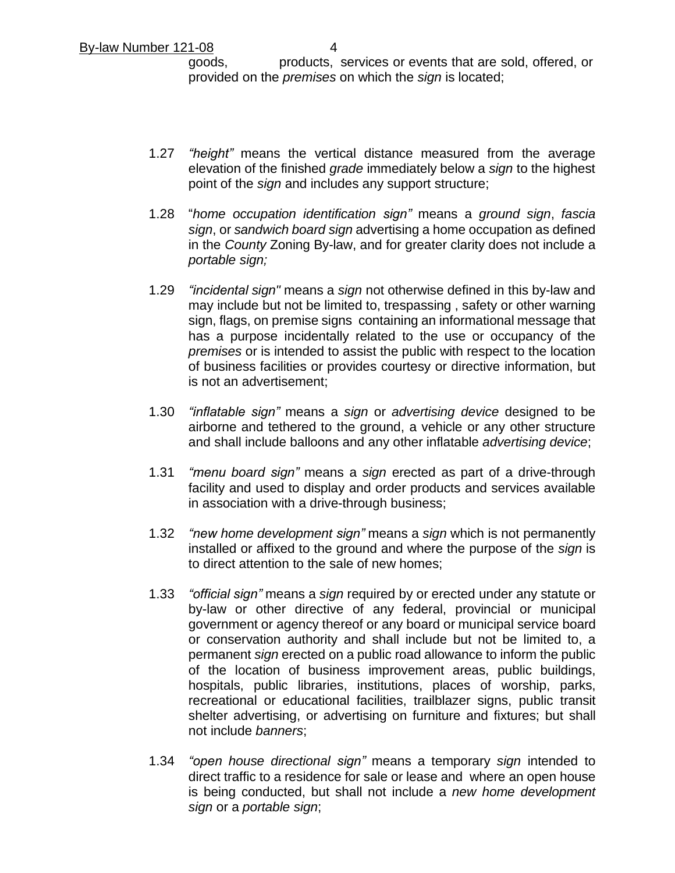goods, products, services or events that are sold, offered, or provided on the *premises* on which the *sign* is located;

- 1.27 *"height"* means the vertical distance measured from the average elevation of the finished *grade* immediately below a *sign* to the highest point of the *sign* and includes any support structure;
- 1.28 "*home occupation identification sign"* means a *ground sign*, *fascia sign*, or *sandwich board sign* advertising a home occupation as defined in the *County* Zoning By-law, and for greater clarity does not include a *portable sign;*
- 1.29 *"incidental sign"* means a *sign* not otherwise defined in this by-law and may include but not be limited to, trespassing , safety or other warning sign, flags, on premise signs containing an informational message that has a purpose incidentally related to the use or occupancy of the *premises* or is intended to assist the public with respect to the location of business facilities or provides courtesy or directive information, but is not an advertisement;
- 1.30 *"inflatable sign"* means a *sign* or *advertising device* designed to be airborne and tethered to the ground, a vehicle or any other structure and shall include balloons and any other inflatable *advertising device*;
- 1.31 *"menu board sign"* means a *sign* erected as part of a drive-through facility and used to display and order products and services available in association with a drive-through business;
- 1.32 *"new home development sign"* means a *sign* which is not permanently installed or affixed to the ground and where the purpose of the *sign* is to direct attention to the sale of new homes;
- 1.33 *"official sign"* means a *sign* required by or erected under any statute or by-law or other directive of any federal, provincial or municipal government or agency thereof or any board or municipal service board or conservation authority and shall include but not be limited to, a permanent *sign* erected on a public road allowance to inform the public of the location of business improvement areas, public buildings, hospitals, public libraries, institutions, places of worship, parks, recreational or educational facilities, trailblazer signs, public transit shelter advertising, or advertising on furniture and fixtures; but shall not include *banners*;
- 1.34 *"open house directional sign"* means a temporary *sign* intended to direct traffic to a residence for sale or lease and where an open house is being conducted, but shall not include a *new home development sign* or a *portable sign*;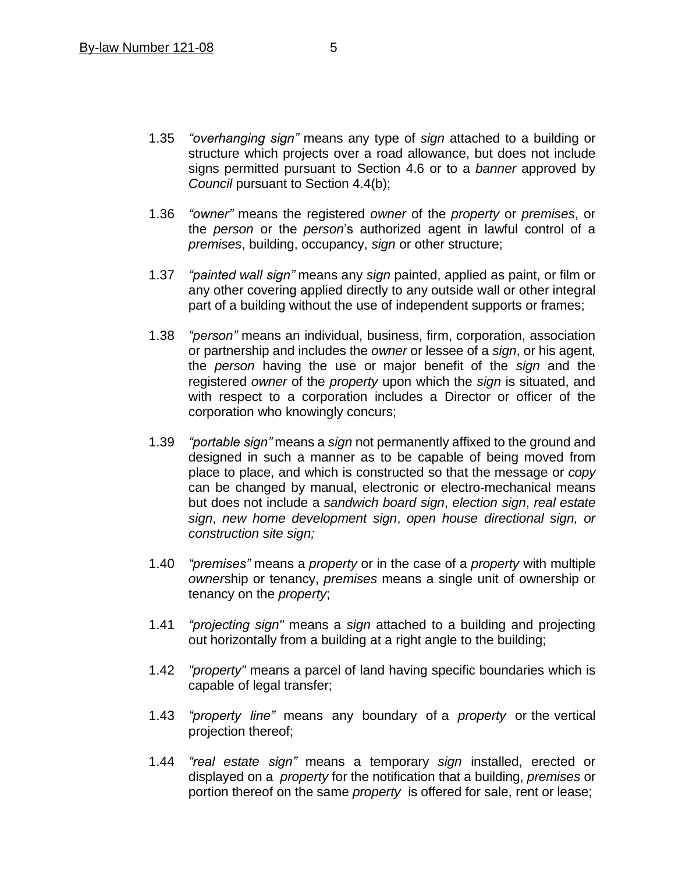- 1.35 *"overhanging sign"* means any type of *sign* attached to a building or structure which projects over a road allowance, but does not include signs permitted pursuant to Section 4.6 or to a *banner* approved by *Council* pursuant to Section 4.4(b);
- 1.36 *"owner"* means the registered *owner* of the *property* or *premises*, or the *person* or the *person*'s authorized agent in lawful control of a *premises*, building, occupancy, *sign* or other structure;
- 1.37 *"painted wall sign"* means any *sign* painted, applied as paint, or film or any other covering applied directly to any outside wall or other integral part of a building without the use of independent supports or frames;
- 1.38 *"person"* means an individual, business, firm, corporation, association or partnership and includes the *owner* or lessee of a *sign*, or his agent, the *person* having the use or major benefit of the *sign* and the registered *owner* of the *property* upon which the *sign* is situated, and with respect to a corporation includes a Director or officer of the corporation who knowingly concurs;
- 1.39 *"portable sign"* means a *sign* not permanently affixed to the ground and designed in such a manner as to be capable of being moved from place to place, and which is constructed so that the message or *copy* can be changed by manual, electronic or electro-mechanical means but does not include a *sandwich board sign*, *election sign*, *real estate sign*, *new home development sign*, *open house directional sign, or construction site sign;*
- 1.40 *"premises"* means a *property* or in the case of a *property* with multiple *owner*ship or tenancy, *premises* means a single unit of ownership or tenancy on the *property*;
- 1.41 *"projecting sign"* means a *sign* attached to a building and projecting out horizontally from a building at a right angle to the building;
- 1.42 *"property"* means a parcel of land having specific boundaries which is capable of legal transfer;
- 1.43 *"property line"* means any boundary of a *property* or the vertical projection thereof;
- 1.44 *"real estate sign"* means a temporary *sign* installed, erected or displayed on a *property* for the notification that a building, *premises* or portion thereof on the same *property* is offered for sale, rent or lease;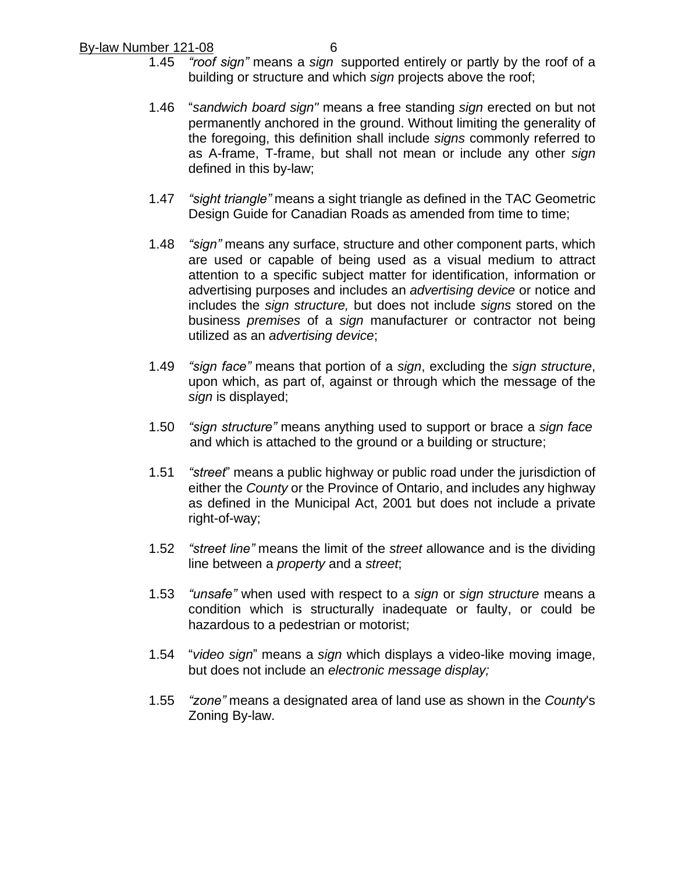- 1.45 *"roof sign"* means a *sign* supported entirely or partly by the roof of a building or structure and which *sign* projects above the roof;
- 1.46 "*sandwich board sign"* means a free standing *sign* erected on but not permanently anchored in the ground. Without limiting the generality of the foregoing, this definition shall include *signs* commonly referred to as A-frame, T-frame, but shall not mean or include any other *sign* defined in this by-law;
- 1.47 *"sight triangle"* means a sight triangle as defined in the TAC Geometric Design Guide for Canadian Roads as amended from time to time;
- 1.48 *"sign"* means any surface, structure and other component parts, which are used or capable of being used as a visual medium to attract attention to a specific subject matter for identification, information or advertising purposes and includes an *advertising device* or notice and includes the *sign structure,* but does not include *signs* stored on the business *premises* of a *sign* manufacturer or contractor not being utilized as an *advertising device*;
- 1.49 *"sign face"* means that portion of a *sign*, excluding the *sign structure*, upon which, as part of, against or through which the message of the *sign* is displayed;
- 1.50 *"sign structure"* means anything used to support or brace a *sign face* and which is attached to the ground or a building or structure;
- 1.51 *"street*" means a public highway or public road under the jurisdiction of either the *County* or the Province of Ontario, and includes any highway as defined in the Municipal Act, 2001 but does not include a private right-of-way;
- 1.52 *"street line"* means the limit of the *street* allowance and is the dividing line between a *property* and a *street*;
- 1.53 *"unsafe"* when used with respect to a *sign* or *sign structure* means a condition which is structurally inadequate or faulty, or could be hazardous to a pedestrian or motorist;
- 1.54 "*video sign*" means a *sign* which displays a video-like moving image, but does not include an *electronic message display;*
- 1.55 *"zone"* means a designated area of land use as shown in the *County*'s Zoning By-law.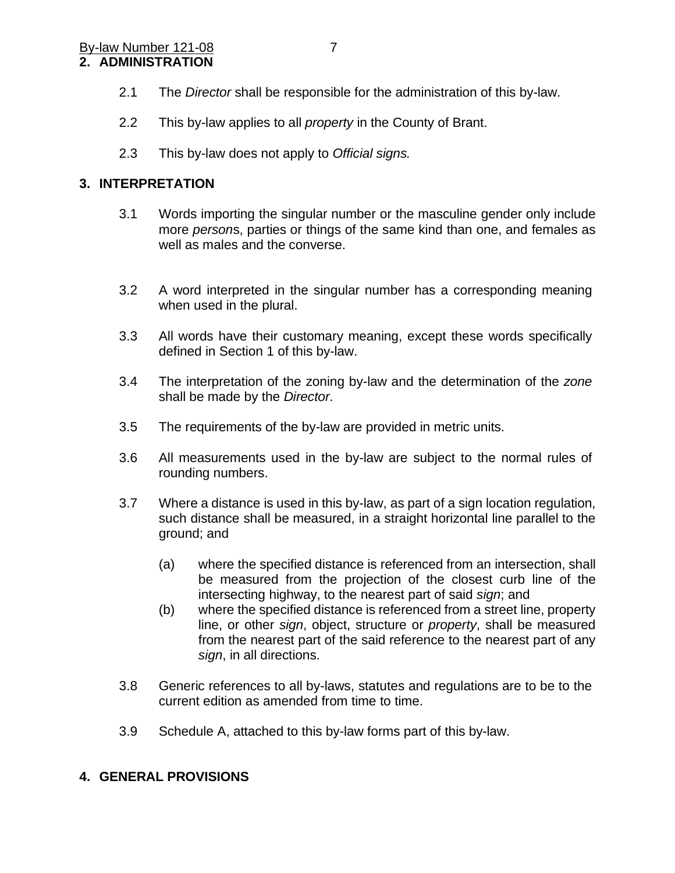## **2. ADMINISTRATION**

- 2.1 The *Director* shall be responsible for the administration of this by-law.
- 2.2 This by-law applies to all *property* in the County of Brant.
- 2.3 This by-law does not apply to *Official signs.*

## **3. INTERPRETATION**

- 3.1 Words importing the singular number or the masculine gender only include more *person*s, parties or things of the same kind than one, and females as well as males and the converse.
- 3.2 A word interpreted in the singular number has a corresponding meaning when used in the plural.
- 3.3 All words have their customary meaning, except these words specifically defined in Section 1 of this by-law.
- 3.4 The interpretation of the zoning by-law and the determination of the *zone* shall be made by the *Director*.
- 3.5 The requirements of the by-law are provided in metric units.
- 3.6 All measurements used in the by-law are subject to the normal rules of rounding numbers.
- 3.7 Where a distance is used in this by-law, as part of a sign location regulation, such distance shall be measured, in a straight horizontal line parallel to the ground; and
	- (a) where the specified distance is referenced from an intersection, shall be measured from the projection of the closest curb line of the intersecting highway, to the nearest part of said *sign*; and
	- (b) where the specified distance is referenced from a street line, property line, or other *sign*, object, structure or *property*, shall be measured from the nearest part of the said reference to the nearest part of any *sign*, in all directions.
- 3.8 Generic references to all by-laws, statutes and regulations are to be to the current edition as amended from time to time.
- 3.9 Schedule A, attached to this by-law forms part of this by-law.

#### **4. GENERAL PROVISIONS**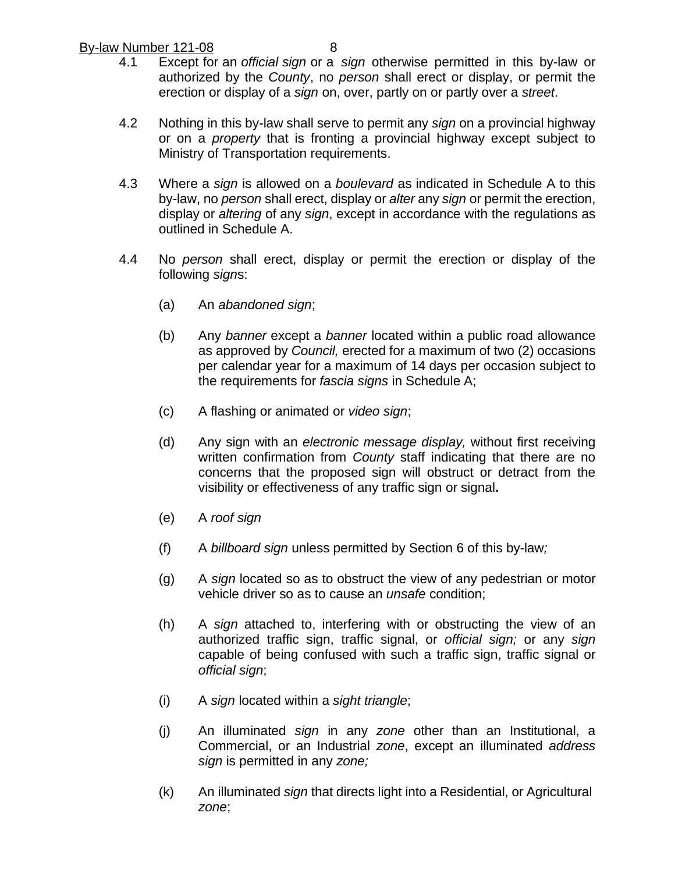- 4.1 Except for an *official sign* or a *sign* otherwise permitted in this by-law or authorized by the *County*, no *person* shall erect or display, or permit the erection or display of a *sign* on, over, partly on or partly over a *street*.
- 4.2 Nothing in this by-law shall serve to permit any *sign* on a provincial highway or on a *property* that is fronting a provincial highway except subject to Ministry of Transportation requirements.
- 4.3 Where a *sign* is allowed on a *boulevard* as indicated in Schedule A to this by-law, no *person* shall erect, display or *alter* any *sign* or permit the erection, display or *altering* of any *sign*, except in accordance with the regulations as outlined in Schedule A.
- 4.4 No *person* shall erect, display or permit the erection or display of the following *sign*s:
	- (a) An *abandoned sign*;
	- (b) Any *banner* except a *banner* located within a public road allowance as approved by *Council,* erected for a maximum of two (2) occasions per calendar year for a maximum of 14 days per occasion subject to the requirements for *fascia signs* in Schedule A;
	- (c) A flashing or animated or *video sign*;
	- (d) Any sign with an *electronic message display,* without first receiving written confirmation from *County* staff indicating that there are no concerns that the proposed sign will obstruct or detract from the visibility or effectiveness of any traffic sign or signal**.**
	- (e) A *roof sign*
	- (f) A *billboard sign* unless permitted by Section 6 of this by-law*;*
	- (g) A *sign* located so as to obstruct the view of any pedestrian or motor vehicle driver so as to cause an *unsafe* condition;
	- (h) A *sign* attached to, interfering with or obstructing the view of an authorized traffic sign, traffic signal, or *official sign;* or any *sign* capable of being confused with such a traffic sign, traffic signal or *official sign*;
	- (i) A *sign* located within a *sight triangle*;
	- (j) An illuminated *sign* in any *zone* other than an Institutional, a Commercial, or an Industrial *zone*, except an illuminated *address sign* is permitted in any *zone;*
	- (k) An illuminated *sign* that directs light into a Residential, or Agricultural *zone*;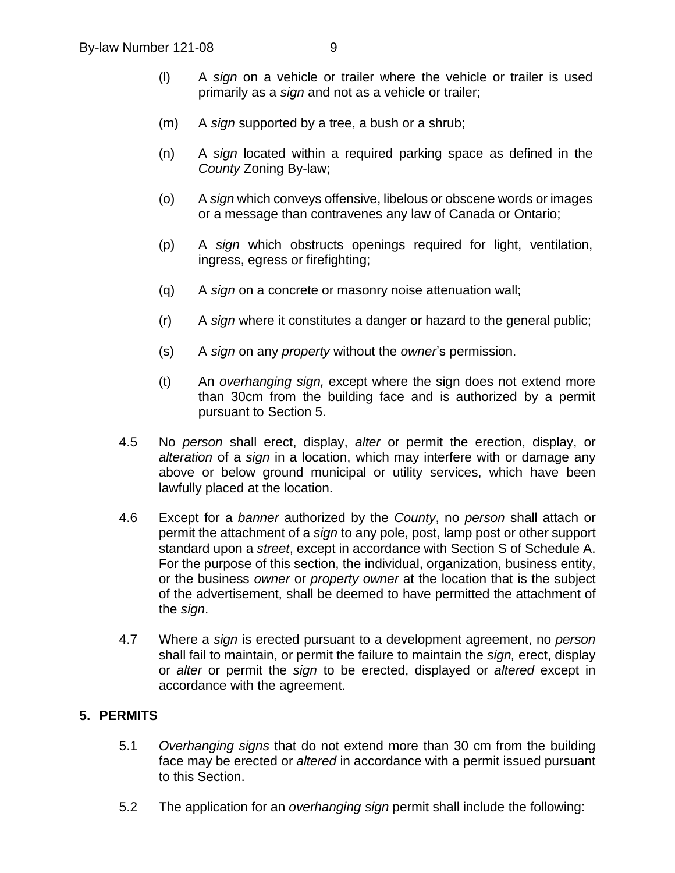- (l) A *sign* on a vehicle or trailer where the vehicle or trailer is used primarily as a *sign* and not as a vehicle or trailer;
- (m) A *sign* supported by a tree, a bush or a shrub;
- (n) A *sign* located within a required parking space as defined in the *County* Zoning By-law;
- (o) A *sign* which conveys offensive, libelous or obscene words or images or a message than contravenes any law of Canada or Ontario;
- (p) A *sign* which obstructs openings required for light, ventilation, ingress, egress or firefighting;
- (q) A *sign* on a concrete or masonry noise attenuation wall;
- (r) A *sign* where it constitutes a danger or hazard to the general public;
- (s) A *sign* on any *property* without the *owner*'s permission.
- (t) An *overhanging sign,* except where the sign does not extend more than 30cm from the building face and is authorized by a permit pursuant to Section 5.
- 4.5 No *person* shall erect, display, *alter* or permit the erection, display, or *alteration* of a *sign* in a location, which may interfere with or damage any above or below ground municipal or utility services, which have been lawfully placed at the location.
- 4.6 Except for a *banner* authorized by the *County*, no *person* shall attach or permit the attachment of a *sign* to any pole, post, lamp post or other support standard upon a *street*, except in accordance with Section S of Schedule A. For the purpose of this section, the individual, organization, business entity, or the business *owner* or *property owner* at the location that is the subject of the advertisement, shall be deemed to have permitted the attachment of the *sign*.
- 4.7 Where a *sign* is erected pursuant to a development agreement, no *person* shall fail to maintain, or permit the failure to maintain the *sign,* erect, display or *alter* or permit the *sign* to be erected, displayed or *altered* except in accordance with the agreement.

#### **5. PERMITS**

- 5.1 *Overhanging signs* that do not extend more than 30 cm from the building face may be erected or *altered* in accordance with a permit issued pursuant to this Section.
- 5.2 The application for an *overhanging sign* permit shall include the following: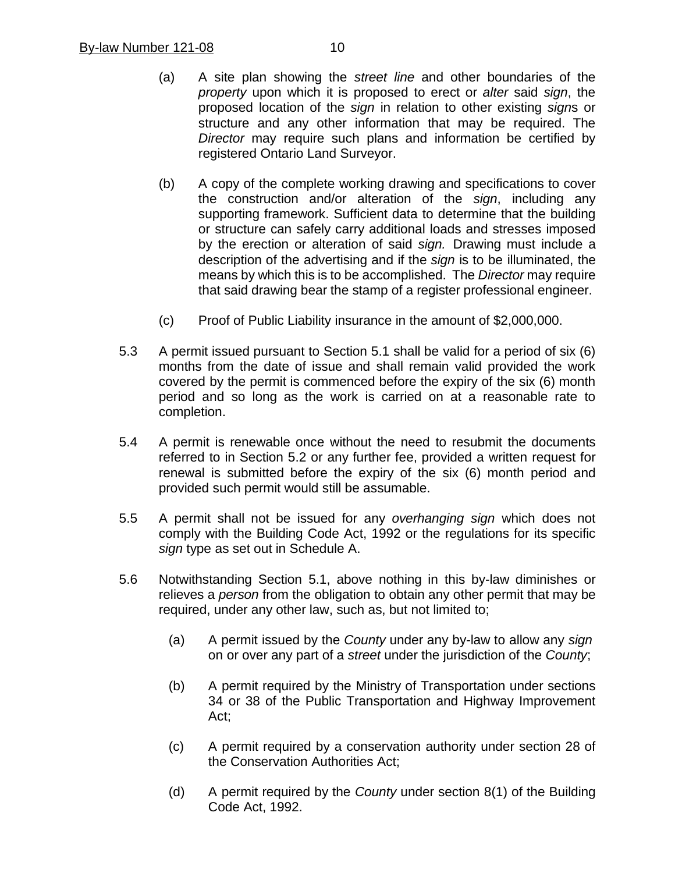- (a) A site plan showing the *street line* and other boundaries of the *property* upon which it is proposed to erect or *alter* said *sign*, the proposed location of the *sign* in relation to other existing *sign*s or structure and any other information that may be required. The *Director* may require such plans and information be certified by registered Ontario Land Surveyor.
- (b) A copy of the complete working drawing and specifications to cover the construction and/or alteration of the *sign*, including any supporting framework. Sufficient data to determine that the building or structure can safely carry additional loads and stresses imposed by the erection or alteration of said *sign.* Drawing must include a description of the advertising and if the *sign* is to be illuminated, the means by which this is to be accomplished. The *Director* may require that said drawing bear the stamp of a register professional engineer.
- (c) Proof of Public Liability insurance in the amount of \$2,000,000.
- 5.3 A permit issued pursuant to Section 5.1 shall be valid for a period of six (6) months from the date of issue and shall remain valid provided the work covered by the permit is commenced before the expiry of the six (6) month period and so long as the work is carried on at a reasonable rate to completion.
- 5.4 A permit is renewable once without the need to resubmit the documents referred to in Section 5.2 or any further fee, provided a written request for renewal is submitted before the expiry of the six (6) month period and provided such permit would still be assumable.
- 5.5 A permit shall not be issued for any *overhanging sign* which does not comply with the Building Code Act, 1992 or the regulations for its specific *sign* type as set out in Schedule A.
- 5.6 Notwithstanding Section 5.1, above nothing in this by-law diminishes or relieves a *person* from the obligation to obtain any other permit that may be required, under any other law, such as, but not limited to;
	- (a) A permit issued by the *County* under any by-law to allow any *sign* on or over any part of a *street* under the jurisdiction of the *County*;
	- (b) A permit required by the Ministry of Transportation under sections 34 or 38 of the Public Transportation and Highway Improvement Act;
	- (c) A permit required by a conservation authority under section 28 of the Conservation Authorities Act;
	- (d) A permit required by the *County* under section 8(1) of the Building Code Act, 1992.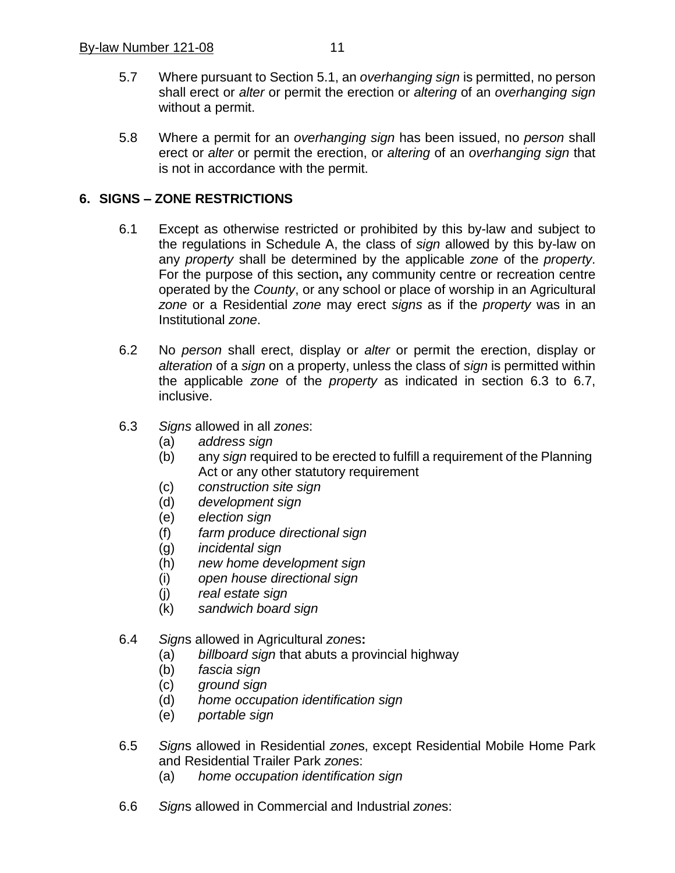- 5.7 Where pursuant to Section 5.1, an *overhanging sign* is permitted, no person shall erect or *alter* or permit the erection or *altering* of an *overhanging sign* without a permit.
- 5.8 Where a permit for an *overhanging sign* has been issued, no *person* shall erect or *alter* or permit the erection, or *altering* of an *overhanging sign* that is not in accordance with the permit.

## **6. SIGNS – ZONE RESTRICTIONS**

- 6.1 Except as otherwise restricted or prohibited by this by-law and subject to the regulations in Schedule A, the class of *sign* allowed by this by-law on any *property* shall be determined by the applicable *zone* of the *property*. For the purpose of this section**,** any community centre or recreation centre operated by the *County*, or any school or place of worship in an Agricultural *zone* or a Residential *zone* may erect *signs* as if the *property* was in an Institutional *zone*.
- 6.2 No *person* shall erect, display or *alter* or permit the erection, display or *alteration* of a *sign* on a property, unless the class of *sign* is permitted within the applicable *zone* of the *property* as indicated in section 6.3 to 6.7, inclusive.
- 6.3 *Signs* allowed in all *zones*:
	- (a) *address sign*
	- (b) any *sign* required to be erected to fulfill a requirement of the Planning Act or any other statutory requirement
	- (c) *construction site sign*
	- (d) *development sign*
	- (e) *election sign*
	- (f) *farm produce directional sign*
	- (g) *incidental sign*
	- (h) *new home development sign*
	- (i) *open house directional sign*
	- (j) *real estate sign*
	- (k) *sandwich board sign*
- 6.4 *Sign*s allowed in Agricultural *zone*s**:**
	- (a) *billboard sign* that abuts a provincial highway
	- (b) *fascia sign*
	- (c) *ground sign*
	- (d) *home occupation identification sign*
	- (e) *portable sign*
- 6.5 *Sign*s allowed in Residential *zone*s, except Residential Mobile Home Park and Residential Trailer Park *zone*s:
	- (a) *home occupation identification sign*
- 6.6 *Sign*s allowed in Commercial and Industrial *zone*s: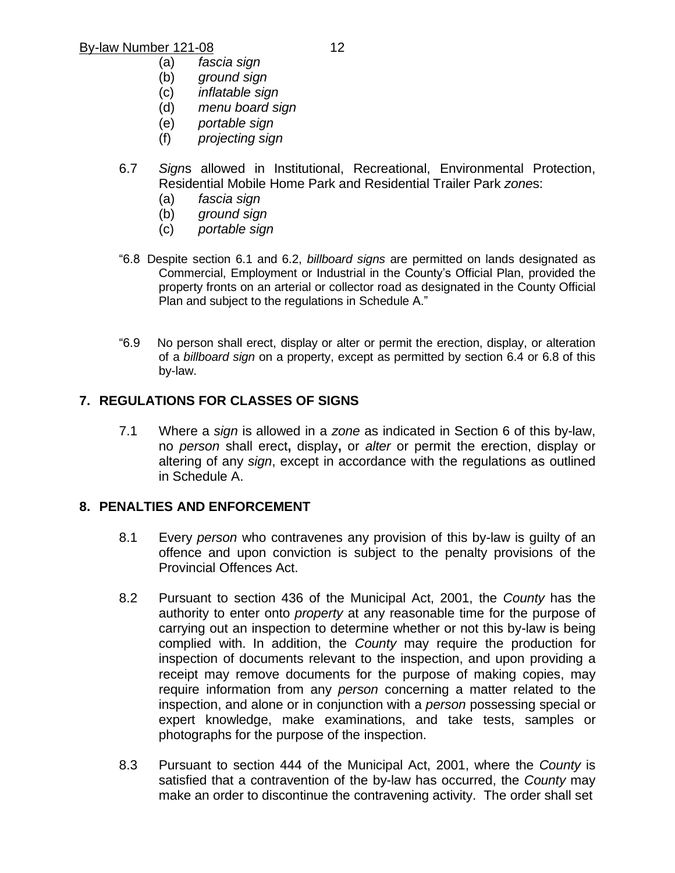- (a) *fascia sign*
- (b) *ground sign*
- $intlational$  *sign* (d) *menu board sign*
- (e) *portable sign*
- 
- (f) *projecting sign*
- 6.7 *Sign*s allowed in Institutional, Recreational, Environmental Protection, Residential Mobile Home Park and Residential Trailer Park *zone*s:
	- (a) *fascia sign*
	- (b) *ground sign*
	- (c) *portable sign*
- "6.8 Despite section 6.1 and 6.2, *billboard signs* are permitted on lands designated as Commercial, Employment or Industrial in the County's Official Plan, provided the property fronts on an arterial or collector road as designated in the County Official Plan and subject to the regulations in Schedule A."
- "6.9 No person shall erect, display or alter or permit the erection, display, or alteration of a *billboard sign* on a property, except as permitted by section 6.4 or 6.8 of this by-law.

## **7. REGULATIONS FOR CLASSES OF SIGNS**

7.1 Where a *sign* is allowed in a *zone* as indicated in Section 6 of this by-law, no *person* shall erect**,** display**,** or *alter* or permit the erection, display or altering of any *sign*, except in accordance with the regulations as outlined in Schedule A.

#### **8. PENALTIES AND ENFORCEMENT**

- 8.1 Every *person* who contravenes any provision of this by-law is guilty of an offence and upon conviction is subject to the penalty provisions of the Provincial Offences Act.
- 8.2 Pursuant to section 436 of the Municipal Act, 2001, the *County* has the authority to enter onto *property* at any reasonable time for the purpose of carrying out an inspection to determine whether or not this by-law is being complied with. In addition, the *County* may require the production for inspection of documents relevant to the inspection, and upon providing a receipt may remove documents for the purpose of making copies, may require information from any *person* concerning a matter related to the inspection, and alone or in conjunction with a *person* possessing special or expert knowledge, make examinations, and take tests, samples or photographs for the purpose of the inspection.
- 8.3 Pursuant to section 444 of the Municipal Act, 2001, where the *County* is satisfied that a contravention of the by-law has occurred, the *County* may make an order to discontinue the contravening activity. The order shall set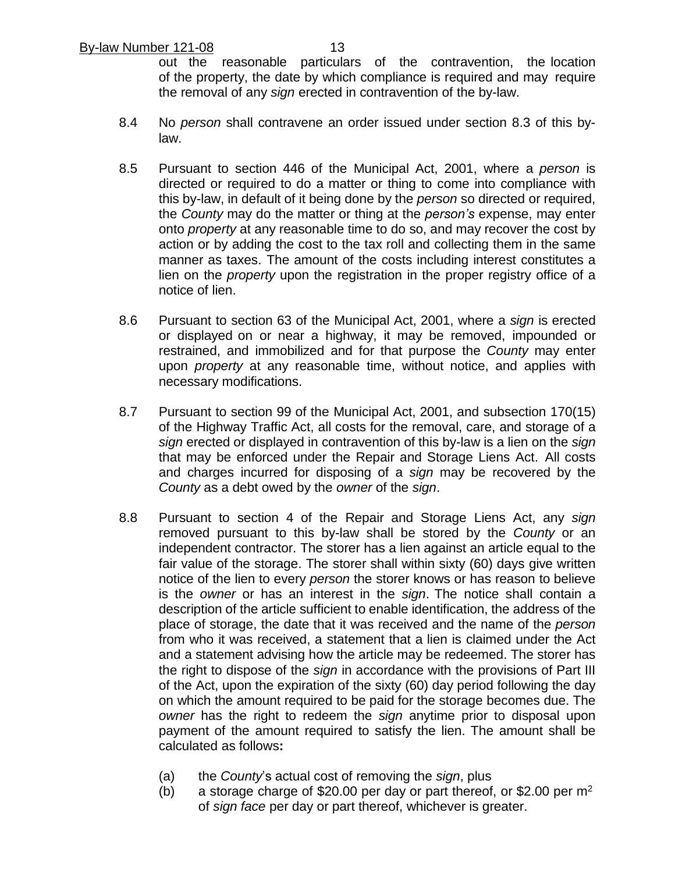out the reasonable particulars of the contravention, the location of the property, the date by which compliance is required and may require the removal of any *sign* erected in contravention of the by-law.

- 8.4 No *person* shall contravene an order issued under section 8.3 of this bylaw.
- 8.5 Pursuant to section 446 of the Municipal Act, 2001, where a *person* is directed or required to do a matter or thing to come into compliance with this by-law, in default of it being done by the *person* so directed or required, the *County* may do the matter or thing at the *person's* expense, may enter onto *property* at any reasonable time to do so, and may recover the cost by action or by adding the cost to the tax roll and collecting them in the same manner as taxes. The amount of the costs including interest constitutes a lien on the *property* upon the registration in the proper registry office of a notice of lien.
- 8.6 Pursuant to section 63 of the Municipal Act, 2001, where a *sign* is erected or displayed on or near a highway, it may be removed, impounded or restrained, and immobilized and for that purpose the *County* may enter upon *property* at any reasonable time, without notice, and applies with necessary modifications.
- 8.7 Pursuant to section 99 of the Municipal Act, 2001, and subsection 170(15) of the Highway Traffic Act, all costs for the removal, care, and storage of a *sign* erected or displayed in contravention of this by-law is a lien on the *sign* that may be enforced under the Repair and Storage Liens Act. All costs and charges incurred for disposing of a *sign* may be recovered by the *County* as a debt owed by the *owner* of the *sign*.
- 8.8 Pursuant to section 4 of the Repair and Storage Liens Act, any *sign* removed pursuant to this by-law shall be stored by the *County* or an independent contractor. The storer has a lien against an article equal to the fair value of the storage. The storer shall within sixty (60) days give written notice of the lien to every *person* the storer knows or has reason to believe is the *owner* or has an interest in the *sign*. The notice shall contain a description of the article sufficient to enable identification, the address of the place of storage, the date that it was received and the name of the *person* from who it was received, a statement that a lien is claimed under the Act and a statement advising how the article may be redeemed. The storer has the right to dispose of the *sign* in accordance with the provisions of Part III of the Act, upon the expiration of the sixty (60) day period following the day on which the amount required to be paid for the storage becomes due. The *owner* has the right to redeem the *sign* anytime prior to disposal upon payment of the amount required to satisfy the lien. The amount shall be calculated as follows**:**
	- (a) the *County*'s actual cost of removing the *sign*, plus
	- (b) a storage charge of \$20.00 per day or part thereof, or \$2.00 per  $m<sup>2</sup>$ of *sign face* per day or part thereof, whichever is greater.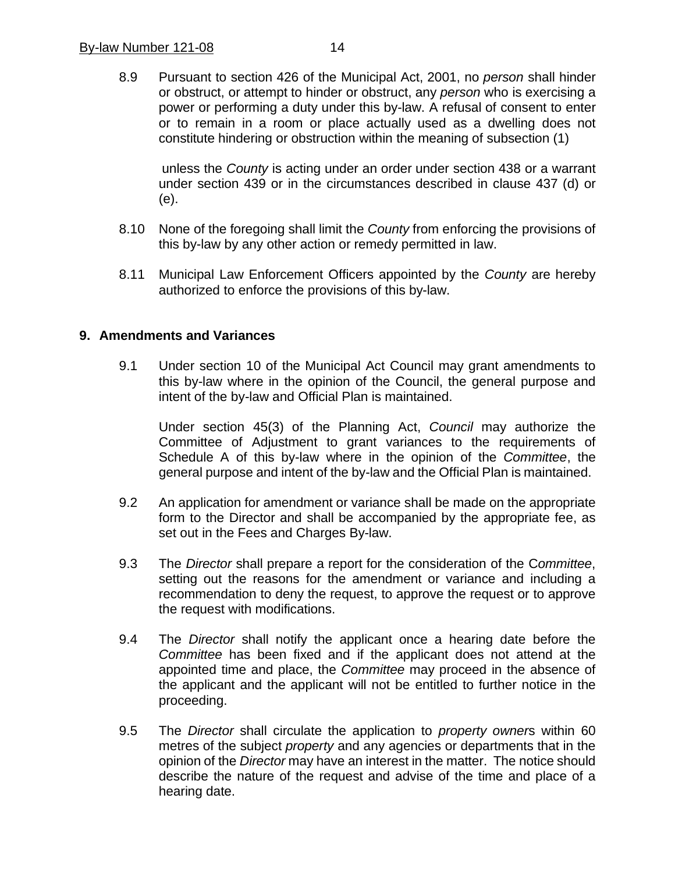8.9 Pursuant to section 426 of the Municipal Act, 2001, no *person* shall hinder or obstruct, or attempt to hinder or obstruct, any *person* who is exercising a power or performing a duty under this by-law. A refusal of consent to enter or to remain in a room or place actually used as a dwelling does not constitute hindering or obstruction within the meaning of subsection (1)

unless the *County* is acting under an order under section 438 or a warrant under section 439 or in the circumstances described in clause 437 (d) or (e).

- 8.10 None of the foregoing shall limit the *County* from enforcing the provisions of this by-law by any other action or remedy permitted in law.
- 8.11 Municipal Law Enforcement Officers appointed by the *County* are hereby authorized to enforce the provisions of this by-law.

#### **9. Amendments and Variances**

9.1 Under section 10 of the Municipal Act Council may grant amendments to this by-law where in the opinion of the Council, the general purpose and intent of the by-law and Official Plan is maintained.

Under section 45(3) of the Planning Act, *Council* may authorize the Committee of Adjustment to grant variances to the requirements of Schedule A of this by-law where in the opinion of the *Committee*, the general purpose and intent of the by-law and the Official Plan is maintained.

- 9.2 An application for amendment or variance shall be made on the appropriate form to the Director and shall be accompanied by the appropriate fee, as set out in the Fees and Charges By-law.
- 9.3 The *Director* shall prepare a report for the consideration of the C*ommittee*, setting out the reasons for the amendment or variance and including a recommendation to deny the request, to approve the request or to approve the request with modifications.
- 9.4 The *Director* shall notify the applicant once a hearing date before the *Committee* has been fixed and if the applicant does not attend at the appointed time and place, the *Committee* may proceed in the absence of the applicant and the applicant will not be entitled to further notice in the proceeding.
- 9.5 The *Director* shall circulate the application to *property owner*s within 60 metres of the subject *property* and any agencies or departments that in the opinion of the *Director* may have an interest in the matter. The notice should describe the nature of the request and advise of the time and place of a hearing date.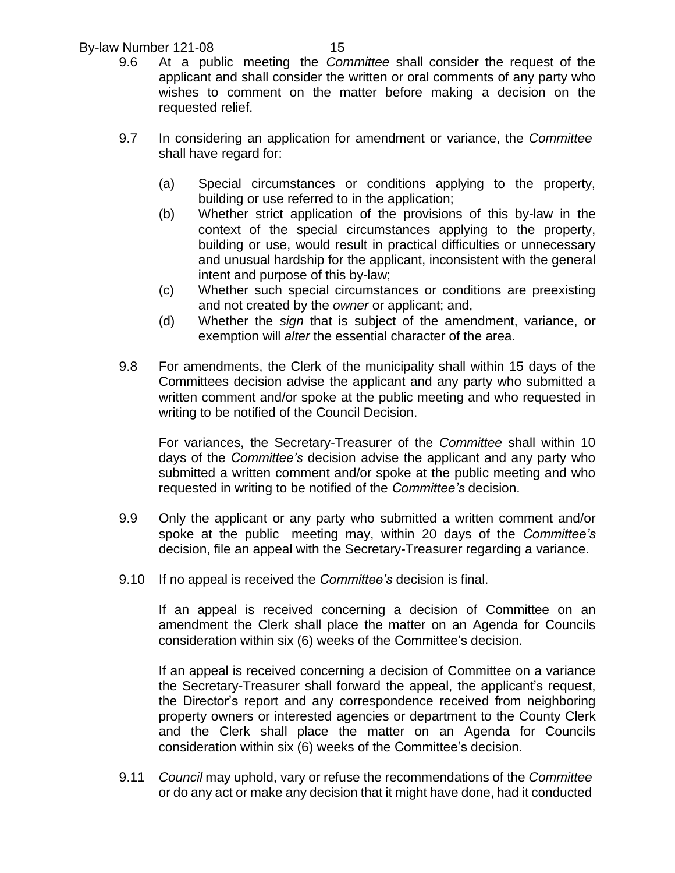- 9.6 At a public meeting the *Committee* shall consider the request of the applicant and shall consider the written or oral comments of any party who wishes to comment on the matter before making a decision on the requested relief.
- 9.7 In considering an application for amendment or variance, the *Committee* shall have regard for:
	- (a) Special circumstances or conditions applying to the property, building or use referred to in the application;
	- (b) Whether strict application of the provisions of this by-law in the context of the special circumstances applying to the property, building or use, would result in practical difficulties or unnecessary and unusual hardship for the applicant, inconsistent with the general intent and purpose of this by-law;
	- (c) Whether such special circumstances or conditions are preexisting and not created by the *owner* or applicant; and,
	- (d) Whether the *sign* that is subject of the amendment, variance, or exemption will *alter* the essential character of the area.
- 9.8 For amendments, the Clerk of the municipality shall within 15 days of the Committees decision advise the applicant and any party who submitted a written comment and/or spoke at the public meeting and who requested in writing to be notified of the Council Decision.

For variances, the Secretary-Treasurer of the *Committee* shall within 10 days of the *Committee's* decision advise the applicant and any party who submitted a written comment and/or spoke at the public meeting and who requested in writing to be notified of the *Committee's* decision.

- 9.9 Only the applicant or any party who submitted a written comment and/or spoke at the public meeting may, within 20 days of the *Committee's* decision, file an appeal with the Secretary-Treasurer regarding a variance.
- 9.10 If no appeal is received the *Committee's* decision is final.

If an appeal is received concerning a decision of Committee on an amendment the Clerk shall place the matter on an Agenda for Councils consideration within six (6) weeks of the Committee's decision.

If an appeal is received concerning a decision of Committee on a variance the Secretary-Treasurer shall forward the appeal, the applicant's request, the Director's report and any correspondence received from neighboring property owners or interested agencies or department to the County Clerk and the Clerk shall place the matter on an Agenda for Councils consideration within six (6) weeks of the Committee's decision.

9.11 *Council* may uphold, vary or refuse the recommendations of the *Committee* or do any act or make any decision that it might have done, had it conducted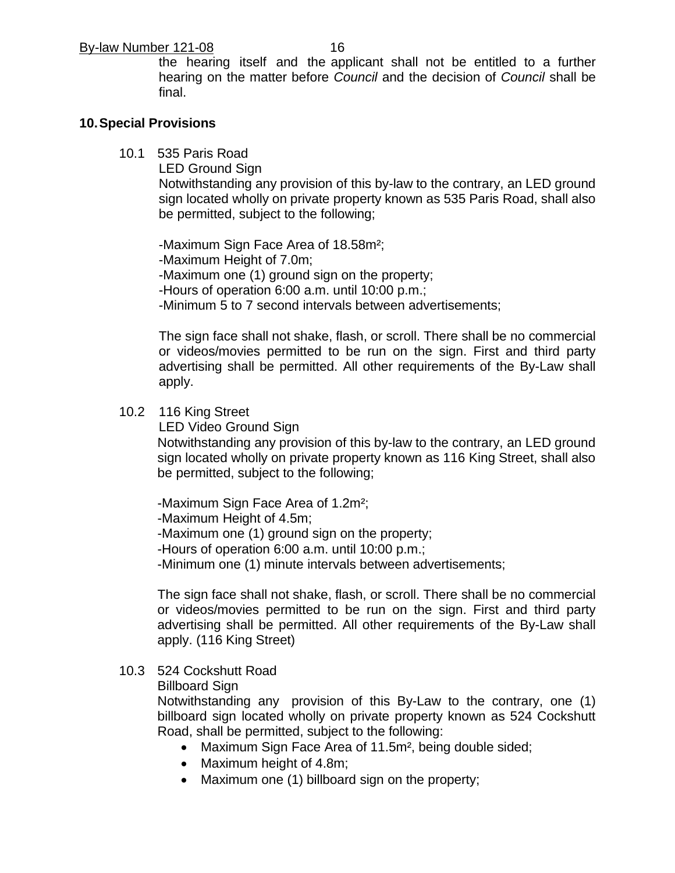the hearing itself and the applicant shall not be entitled to a further hearing on the matter before *Council* and the decision of *Council* shall be final.

#### **10.Special Provisions**

10.1 535 Paris Road

LED Ground Sign

Notwithstanding any provision of this by-law to the contrary, an LED ground sign located wholly on private property known as 535 Paris Road, shall also be permitted, subject to the following;

-Maximum Sign Face Area of 18.58m²; -Maximum Height of 7.0m; -Maximum one (1) ground sign on the property; -Hours of operation 6:00 a.m. until 10:00 p.m.; -Minimum 5 to 7 second intervals between advertisements;

The sign face shall not shake, flash, or scroll. There shall be no commercial or videos/movies permitted to be run on the sign. First and third party advertising shall be permitted. All other requirements of the By-Law shall apply.

#### 10.2 116 King Street

LED Video Ground Sign

Notwithstanding any provision of this by-law to the contrary, an LED ground sign located wholly on private property known as 116 King Street, shall also be permitted, subject to the following;

-Maximum Sign Face Area of 1.2m²;

-Maximum Height of 4.5m;

-Maximum one (1) ground sign on the property;

-Hours of operation 6:00 a.m. until 10:00 p.m.;

-Minimum one (1) minute intervals between advertisements;

The sign face shall not shake, flash, or scroll. There shall be no commercial or videos/movies permitted to be run on the sign. First and third party advertising shall be permitted. All other requirements of the By-Law shall apply. (116 King Street)

#### 10.3 524 Cockshutt Road

Billboard Sign

Notwithstanding any provision of this By-Law to the contrary, one (1) billboard sign located wholly on private property known as 524 Cockshutt Road, shall be permitted, subject to the following:

- Maximum Sign Face Area of 11.5m², being double sided;
- Maximum height of 4.8m;
- Maximum one (1) billboard sign on the property;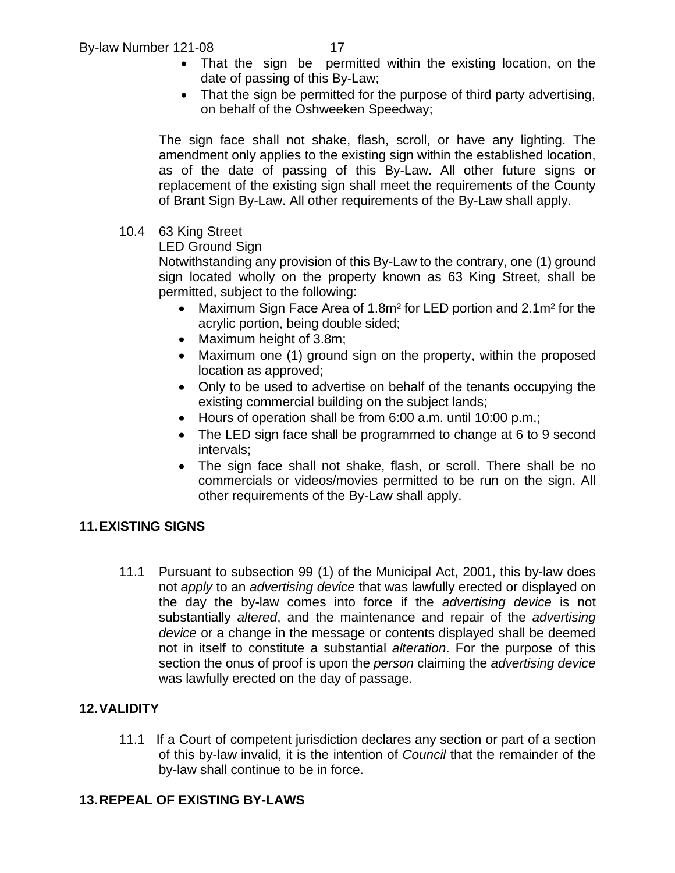- That the sign be permitted within the existing location, on the date of passing of this By-Law;
- That the sign be permitted for the purpose of third party advertising, on behalf of the Oshweeken Speedway;

The sign face shall not shake, flash, scroll, or have any lighting. The amendment only applies to the existing sign within the established location, as of the date of passing of this By-Law. All other future signs or replacement of the existing sign shall meet the requirements of the County of Brant Sign By-Law. All other requirements of the By-Law shall apply.

10.4 63 King Street

LED Ground Sign

Notwithstanding any provision of this By-Law to the contrary, one (1) ground sign located wholly on the property known as 63 King Street, shall be permitted, subject to the following:

- Maximum Sign Face Area of 1.8m<sup>2</sup> for LED portion and 2.1m<sup>2</sup> for the acrylic portion, being double sided;
- Maximum height of 3.8m;
- Maximum one (1) ground sign on the property, within the proposed location as approved;
- Only to be used to advertise on behalf of the tenants occupying the existing commercial building on the subject lands;
- Hours of operation shall be from 6:00 a.m. until 10:00 p.m.;
- The LED sign face shall be programmed to change at 6 to 9 second intervals;
- The sign face shall not shake, flash, or scroll. There shall be no commercials or videos/movies permitted to be run on the sign. All other requirements of the By-Law shall apply.

# **11.EXISTING SIGNS**

11.1 Pursuant to subsection 99 (1) of the Municipal Act, 2001, this by-law does not *apply* to an *advertising device* that was lawfully erected or displayed on the day the by-law comes into force if the *advertising device* is not substantially *altered*, and the maintenance and repair of the *advertising device* or a change in the message or contents displayed shall be deemed not in itself to constitute a substantial *alteration*. For the purpose of this section the onus of proof is upon the *person* claiming the *advertising device* was lawfully erected on the day of passage.

# **12.VALIDITY**

11.1 If a Court of competent jurisdiction declares any section or part of a section of this by-law invalid, it is the intention of *Council* that the remainder of the by-law shall continue to be in force.

## **13.REPEAL OF EXISTING BY-LAWS**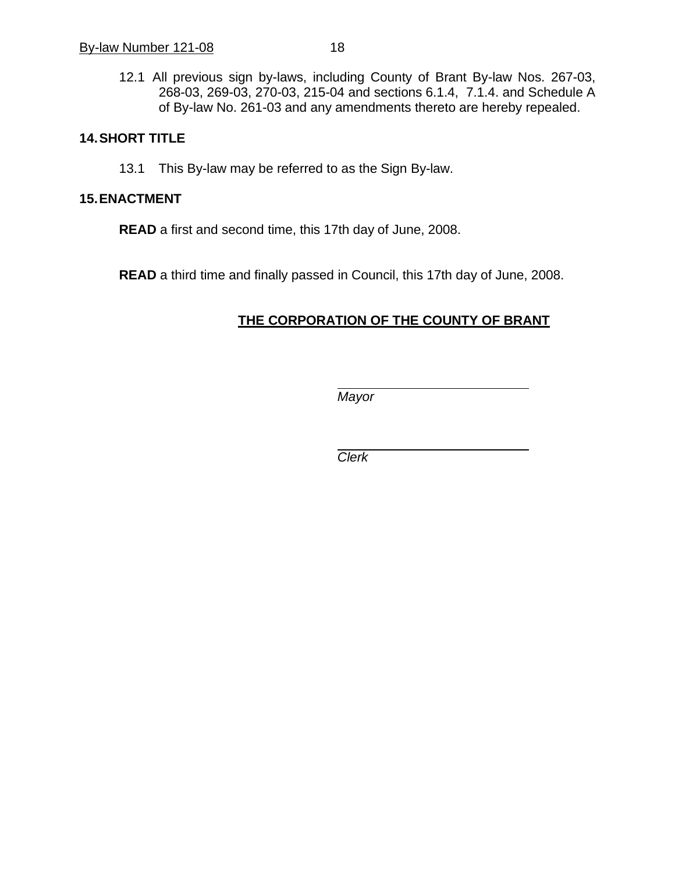#### **14.SHORT TITLE**

13.1 This By-law may be referred to as the Sign By-law.

#### **15.ENACTMENT**

**READ** a first and second time, this 17th day of June, 2008.

**READ** a third time and finally passed in Council, this 17th day of June, 2008.

# **THE CORPORATION OF THE COUNTY OF BRANT**

*Mayor*

*Clerk*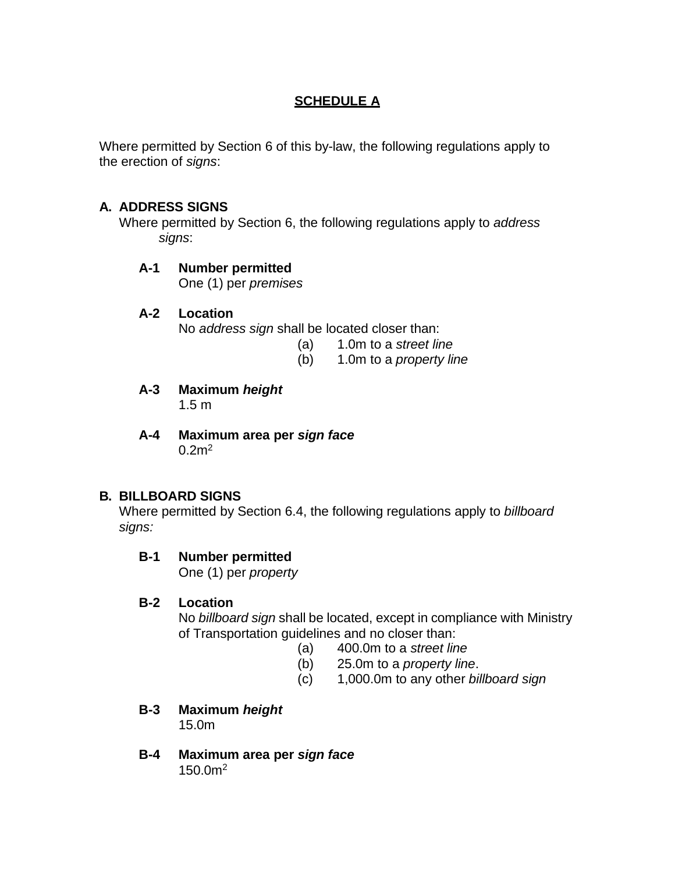# **SCHEDULE A**

Where permitted by Section 6 of this by-law, the following regulations apply to the erection of *signs*:

## **A. ADDRESS SIGNS**

Where permitted by Section 6, the following regulations apply to *address signs*:

## **A-1 Number permitted**

One (1) per *premises*

#### **A-2 Location**

No *address sign* shall be located closer than:

- (a) 1.0m to a *street line*
- (b) 1.0m to a *property line*
- **A-3 Maximum** *height* 1.5 m
- **A-4 Maximum area per** *sign face*  $0.2m<sup>2</sup>$

## **B. BILLBOARD SIGNS**

Where permitted by Section 6.4, the following regulations apply to *billboard signs:*

## **B-1 Number permitted**

One (1) per *property*

#### **B-2 Location**

No *billboard sign* shall be located, except in compliance with Ministry of Transportation guidelines and no closer than:

- (a) 400.0m to a *street line*
- (b) 25.0m to a *property line*.
- (c) 1,000.0m to any other *billboard sign*
- **B-3 Maximum** *height* 15.0m
- **B-4 Maximum area per** *sign face* 150.0m2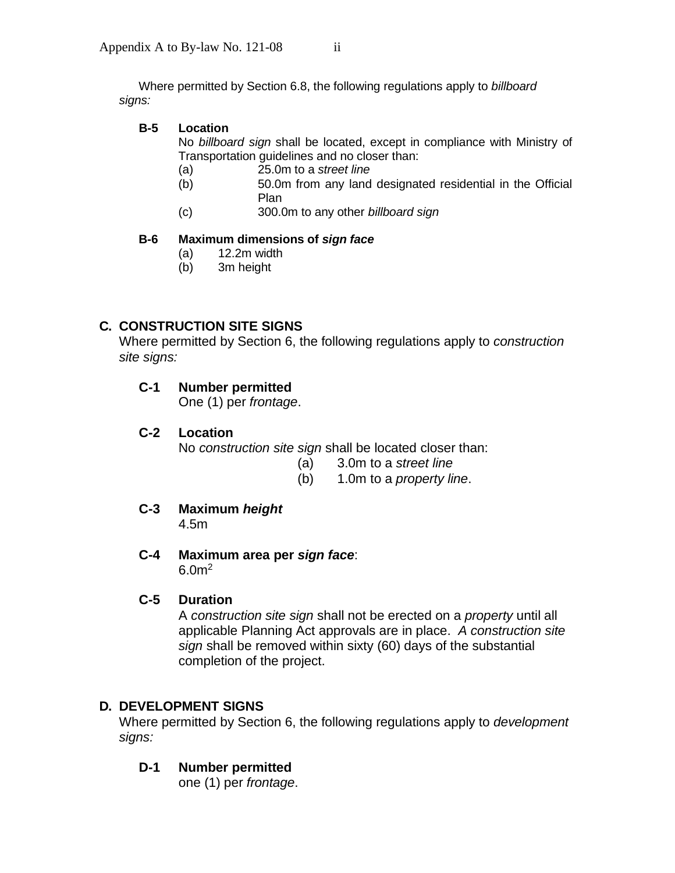Where permitted by Section 6.8, the following regulations apply to *billboard signs:*

#### **B-5 Location**

No *billboard sign* shall be located, except in compliance with Ministry of Transportation guidelines and no closer than:

- (a) 25.0m to a *street line*
- (b) 50.0m from any land designated residential in the Official Plan
- (c) 300.0m to any other *billboard sign*

#### **B-6 Maximum dimensions of** *sign face*

- (a) 12.2m width
- (b) 3m height

## **C. CONSTRUCTION SITE SIGNS**

Where permitted by Section 6, the following regulations apply to *construction site signs:*

## **C-1 Number permitted**

One (1) per *frontage*.

## **C-2 Location**

No *construction site sign* shall be located closer than:

- (a) 3.0m to a *street line*
- (b) 1.0m to a *property line*.
- **C-3 Maximum** *height*

4.5m

**C-4 Maximum area per** *sign face*: 6.0 $m^2$ 

#### **C-5 Duration**

A *construction site sign* shall not be erected on a *property* until all applicable Planning Act approvals are in place. *A construction site sign* shall be removed within sixty (60) days of the substantial completion of the project.

#### **D. DEVELOPMENT SIGNS**

Where permitted by Section 6, the following regulations apply to *development signs:*

#### **D-1 Number permitted**

one (1) per *frontage*.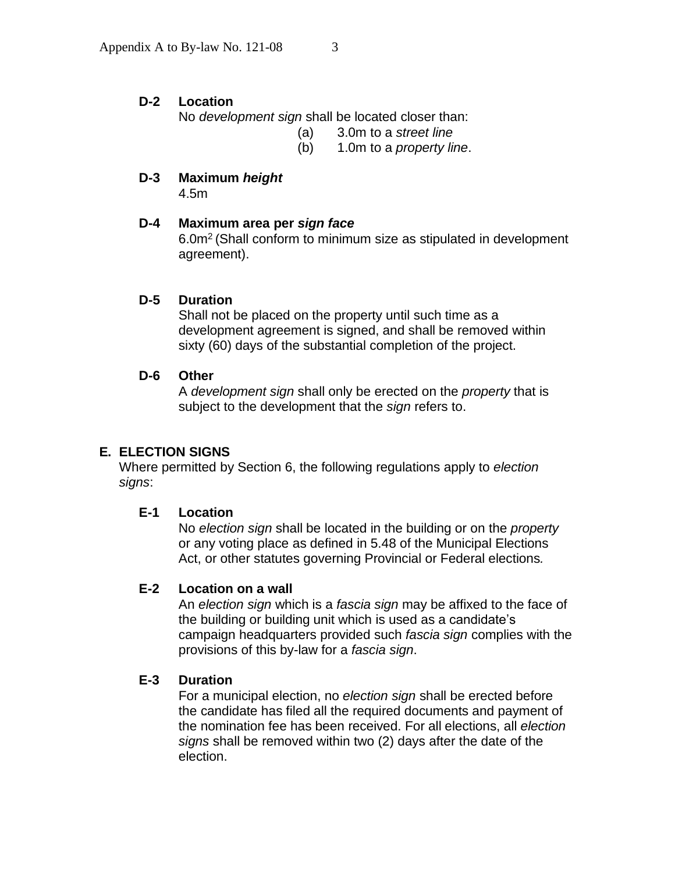## **D-2 Location**

No *development sign* shall be located closer than:

- (a) 3.0m to a *street line*
- (b) 1.0m to a *property line*.

# **D-3 Maximum** *height*

4.5m

# **D-4 Maximum area per** *sign face*

6.0m<sup>2</sup> (Shall conform to minimum size as stipulated in development agreement).

# **D-5 Duration**

Shall not be placed on the property until such time as a development agreement is signed, and shall be removed within sixty (60) days of the substantial completion of the project.

## **D-6 Other**

A *development sign* shall only be erected on the *property* that is subject to the development that the *sign* refers to.

# **E. ELECTION SIGNS**

Where permitted by Section 6, the following regulations apply to *election signs*:

## **E-1 Location**

No *election sign* shall be located in the building or on the *property* or any voting place as defined in 5.48 of the Municipal Elections Act, or other statutes governing Provincial or Federal elections*.*

## **E-2 Location on a wall**

An *election sign* which is a *fascia sign* may be affixed to the face of the building or building unit which is used as a candidate's campaign headquarters provided such *fascia sign* complies with the provisions of this by-law for a *fascia sign*.

## **E-3 Duration**

For a municipal election, no *election sign* shall be erected before the candidate has filed all the required documents and payment of the nomination fee has been received. For all elections, all *election signs* shall be removed within two (2) days after the date of the election.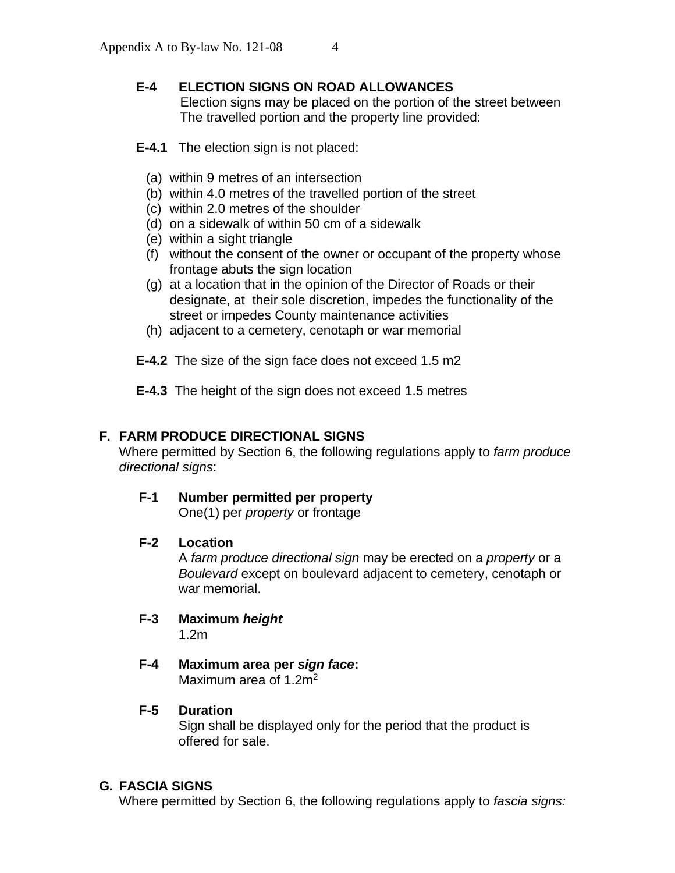# **E-4 ELECTION SIGNS ON ROAD ALLOWANCES**

Election signs may be placed on the portion of the street between The travelled portion and the property line provided:

- **E-4.1** The election sign is not placed:
	- (a) within 9 metres of an intersection
	- (b) within 4.0 metres of the travelled portion of the street
	- (c) within 2.0 metres of the shoulder
	- (d) on a sidewalk of within 50 cm of a sidewalk
	- (e) within a sight triangle
	- (f) without the consent of the owner or occupant of the property whose frontage abuts the sign location
	- (g) at a location that in the opinion of the Director of Roads or their designate, at their sole discretion, impedes the functionality of the street or impedes County maintenance activities
	- (h) adjacent to a cemetery, cenotaph or war memorial

**E-4.2** The size of the sign face does not exceed 1.5 m2

**E-4.3** The height of the sign does not exceed 1.5 metres

## **F. FARM PRODUCE DIRECTIONAL SIGNS**

Where permitted by Section 6, the following regulations apply to *farm produce directional signs*:

**F-1 Number permitted per property**

One(1) per *property* or frontage

## **F-2 Location**

A *farm produce directional sign* may be erected on a *property* or a *Boulevard* except on boulevard adjacent to cemetery, cenotaph or war memorial.

- **F-3 Maximum** *height* 1.2m
- **F-4 Maximum area per** *sign face***:** Maximum area of 1.2m<sup>2</sup>

## **F-5 Duration**

Sign shall be displayed only for the period that the product is offered for sale.

## **G. FASCIA SIGNS**

Where permitted by Section 6, the following regulations apply to *fascia signs:*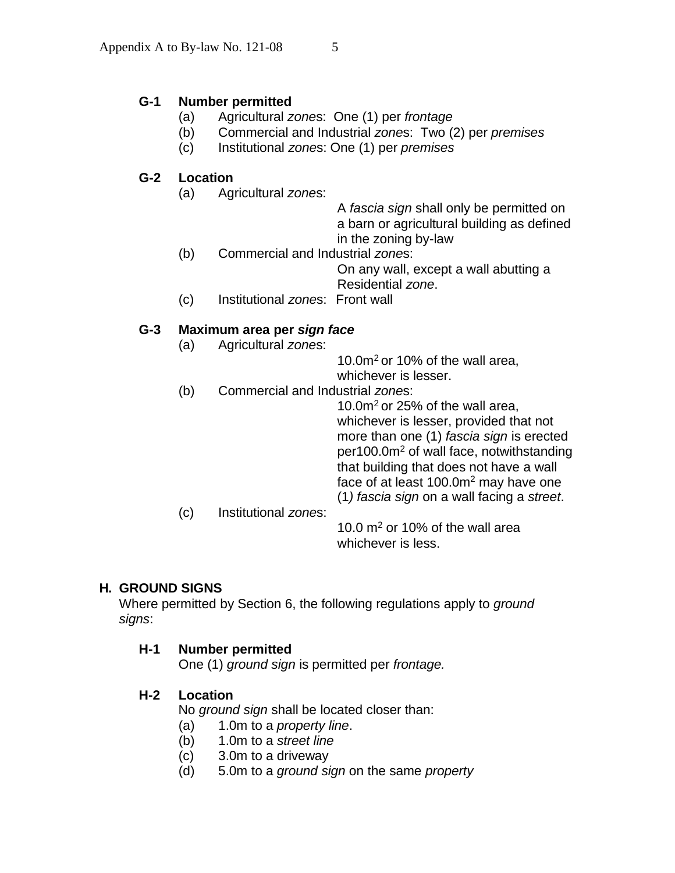## **G-1 Number permitted**

- (a) Agricultural *zone*s: One (1) per *frontage*
- (b) Commercial and Industrial *zone*s: Two (2) per *premises*
- (c) Institutional *zone*s: One (1) per *premises*

## **G-2 Location**

- (a) Agricultural *zone*s:
	- A *fascia sign* shall only be permitted on a barn or agricultural building as defined in the zoning by-law
- (b) Commercial and Industrial *zone*s:

On any wall, except a wall abutting a Residential *zone*.

(c) Institutional *zone*s: Front wall

## **G-3 Maximum area per** *sign face*

- (a) Agricultural *zone*s:
- 10.0 $m<sup>2</sup>$  or 10% of the wall area, whichever is lesser.
- (b) Commercial and Industrial *zone*s:

10.0 $m<sup>2</sup>$  or 25% of the wall area, whichever is lesser, provided that not more than one (1) *fascia sign* is erected per100.0m<sup>2</sup> of wall face, notwithstanding that building that does not have a wall face of at least  $100.0m^2$  may have one (1*) fascia sign* on a wall facing a *street*.

(c) Institutional *zone*s: 10.0  $m<sup>2</sup>$  or 10% of the wall area whichever is less.

## **H. GROUND SIGNS**

Where permitted by Section 6, the following regulations apply to *ground signs*:

#### **H-1 Number permitted**

One (1) *ground sign* is permitted per *frontage.*

## **H-2 Location**

No *ground sign* shall be located closer than:

- (a) 1.0m to a *property line*.
- (b) 1.0m to a *street line*
- (c) 3.0m to a driveway
- (d) 5.0m to a *ground sign* on the same *property*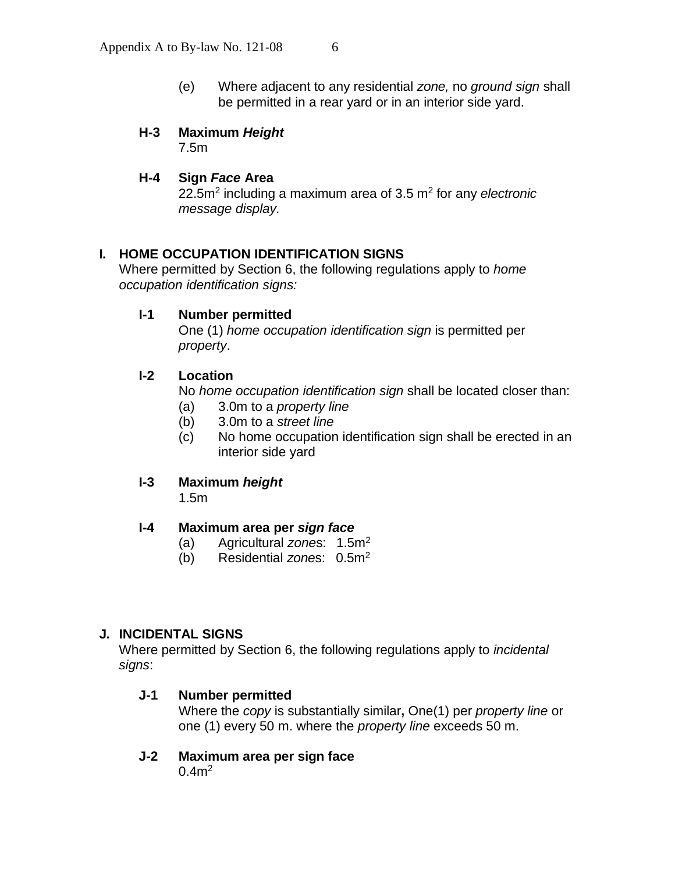(e) Where adjacent to any residential *zone,* no *ground sign* shall be permitted in a rear yard or in an interior side yard.

## **H-3 Maximum** *Height*

7.5m

## **H-4 Sign** *Face* **Area**

22.5m<sup>2</sup> including a maximum area of 3.5 m<sup>2</sup> for any *electronic message display.*

## **I. HOME OCCUPATION IDENTIFICATION SIGNS**

Where permitted by Section 6, the following regulations apply to *home occupation identification signs:*

#### **I-1 Number permitted**

One (1) *home occupation identification sign* is permitted per *property*.

#### **I-2 Location**

No *home occupation identification sign* shall be located closer than:

- (a) 3.0m to a *property line*
- (b) 3.0m to a *street line*
- (c) No home occupation identification sign shall be erected in an interior side yard

#### **I-3 Maximum** *height*

1.5m

#### **I-4 Maximum area per** *sign face*

- (a) Agricultural *zone*s: 1.5m<sup>2</sup>
- (b) Residential *zone*s: 0.5m<sup>2</sup>

## **J. INCIDENTAL SIGNS**

Where permitted by Section 6, the following regulations apply to *incidental signs*:

#### **J-1 Number permitted**

Where the *copy* is substantially similar**,** One(1) per *property line* or one (1) every 50 m. where the *property line* exceeds 50 m.

#### **J-2 Maximum area per sign face**

 $0.4m^2$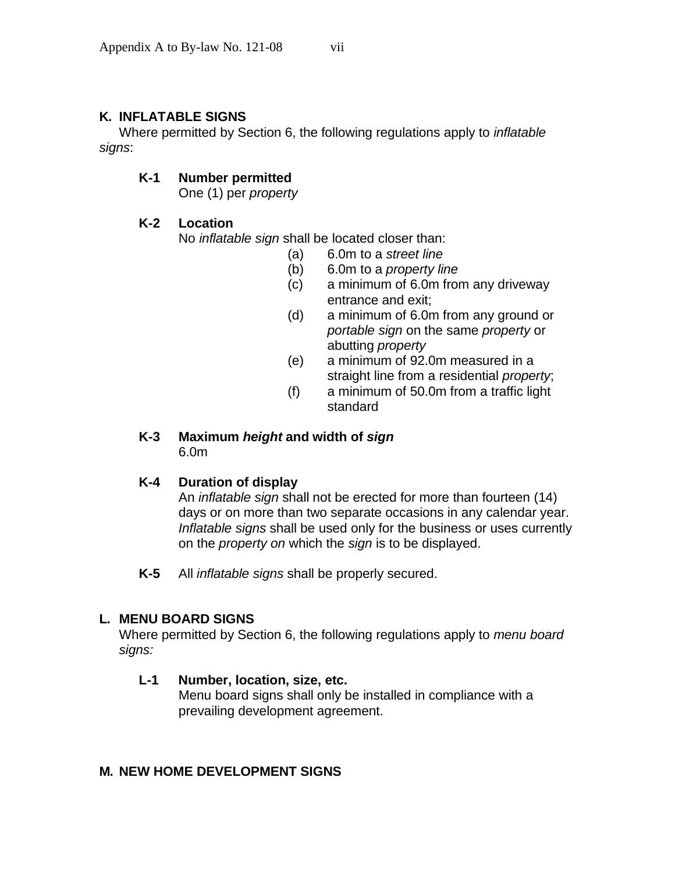## **K. INFLATABLE SIGNS**

Where permitted by Section 6, the following regulations apply to *inflatable signs*:

## **K-1 Number permitted**

One (1) per *property*

## **K-2 Location**

No *inflatable sign* shall be located closer than:

- (a) 6.0m to a *street line*
- (b) 6.0m to a *property line*
- (c) a minimum of 6.0m from any driveway entrance and exit;
- (d) a minimum of 6.0m from any ground or *portable sign* on the same *property* or abutting *property*
- (e) a minimum of 92.0m measured in a straight line from a residential *property*;
- (f) a minimum of 50.0m from a traffic light standard

# **K-3 Maximum** *height* **and width of** *sign*

6.0m

#### **K-4 Duration of display**

An *inflatable sign* shall not be erected for more than fourteen (14) days or on more than two separate occasions in any calendar year. *Inflatable signs* shall be used only for the business or uses currently on the *property on* which the *sign* is to be displayed.

**K-5** All *inflatable signs* shall be properly secured.

## **L. MENU BOARD SIGNS**

Where permitted by Section 6, the following regulations apply to *menu board signs:*

#### **L-1 Number, location, size, etc.**

Menu board signs shall only be installed in compliance with a prevailing development agreement.

#### **M. NEW HOME DEVELOPMENT SIGNS**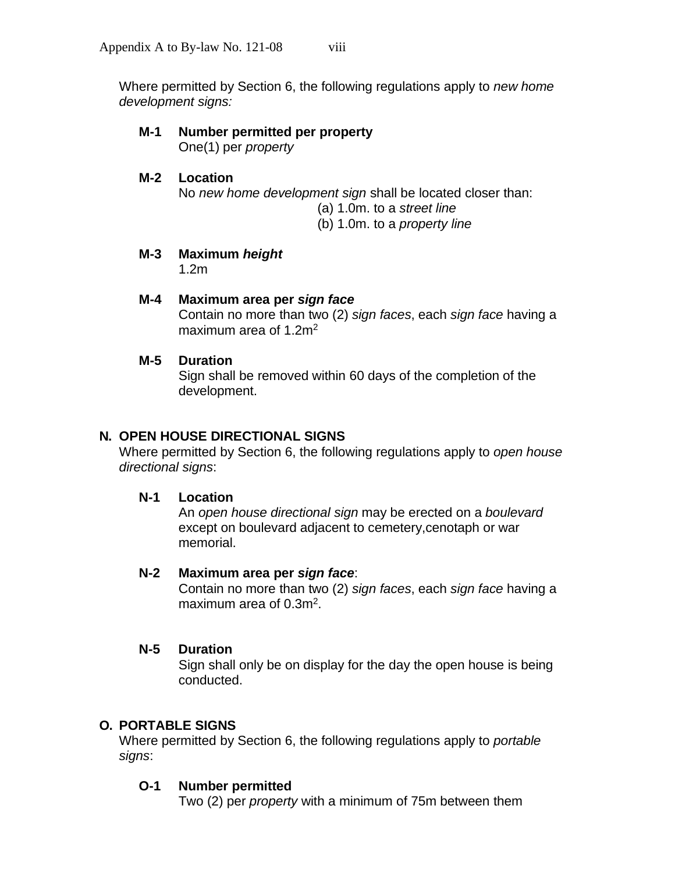Where permitted by Section 6, the following regulations apply to *new home development signs:*

# **M-1 Number permitted per property**

One(1) per *property*

**M-2 Location** No *new home development sign* shall be located closer than: (a) 1.0m. to a *street line* (b) 1.0m. to a *property line*

# **M-3 Maximum** *height*

1.2m

## **M-4 Maximum area per** *sign face*

Contain no more than two (2) *sign faces*, each *sign face* having a maximum area of 1.2 $m<sup>2</sup>$ 

## **M-5 Duration**

Sign shall be removed within 60 days of the completion of the development.

## **N. OPEN HOUSE DIRECTIONAL SIGNS**

Where permitted by Section 6, the following regulations apply to *open house directional signs*:

#### **N-1 Location**

An *open house directional sign* may be erected on a *boulevard* except on boulevard adjacent to cemetery,cenotaph or war memorial.

#### **N-2 Maximum area per** *sign face*:

Contain no more than two (2) *sign faces*, each *sign face* having a maximum area of 0.3m<sup>2</sup>.

#### **N-5 Duration**

Sign shall only be on display for the day the open house is being conducted.

## **O. PORTABLE SIGNS**

Where permitted by Section 6, the following regulations apply to *portable signs*:

## **O-1 Number permitted**

Two (2) per *property* with a minimum of 75m between them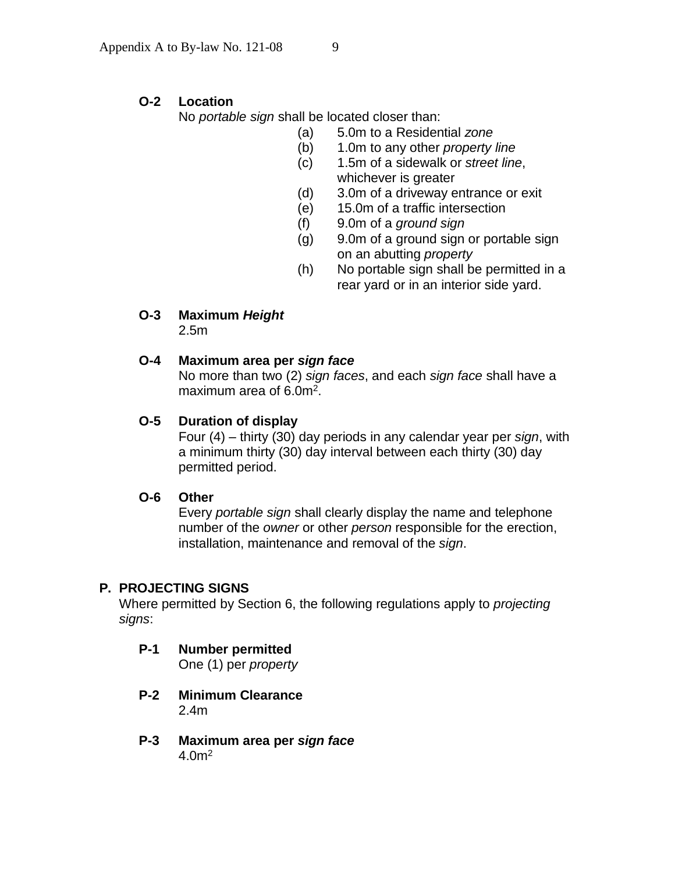## **O-2 Location**

No *portable sign* shall be located closer than:

- (a) 5.0m to a Residential *zone*
- (b) 1.0m to any other *property line*
- (c) 1.5m of a sidewalk or *street line*, whichever is greater
- (d) 3.0m of a driveway entrance or exit
- (e) 15.0m of a traffic intersection
- (f) 9.0m of a *ground sign*
- (g) 9.0m of a ground sign or portable sign on an abutting *property*
- (h) No portable sign shall be permitted in a rear yard or in an interior side yard.
- **O-3 Maximum** *Height* 2.5m

#### **O-4 Maximum area per** *sign face*

No more than two (2) *sign faces*, and each *sign face* shall have a maximum area of 6.0m<sup>2</sup>.

#### **O-5 Duration of display**

Four (4) – thirty (30) day periods in any calendar year per *sign*, with a minimum thirty (30) day interval between each thirty (30) day permitted period.

## **O-6 Other**

Every *portable sign* shall clearly display the name and telephone number of the *owner* or other *person* responsible for the erection, installation, maintenance and removal of the *sign*.

#### **P. PROJECTING SIGNS**

Where permitted by Section 6, the following regulations apply to *projecting signs*:

- **P-1 Number permitted** One (1) per *property*
- **P-2 Minimum Clearance** 2.4m
- **P-3 Maximum area per** *sign face*  $4.0<sup>m²</sup>$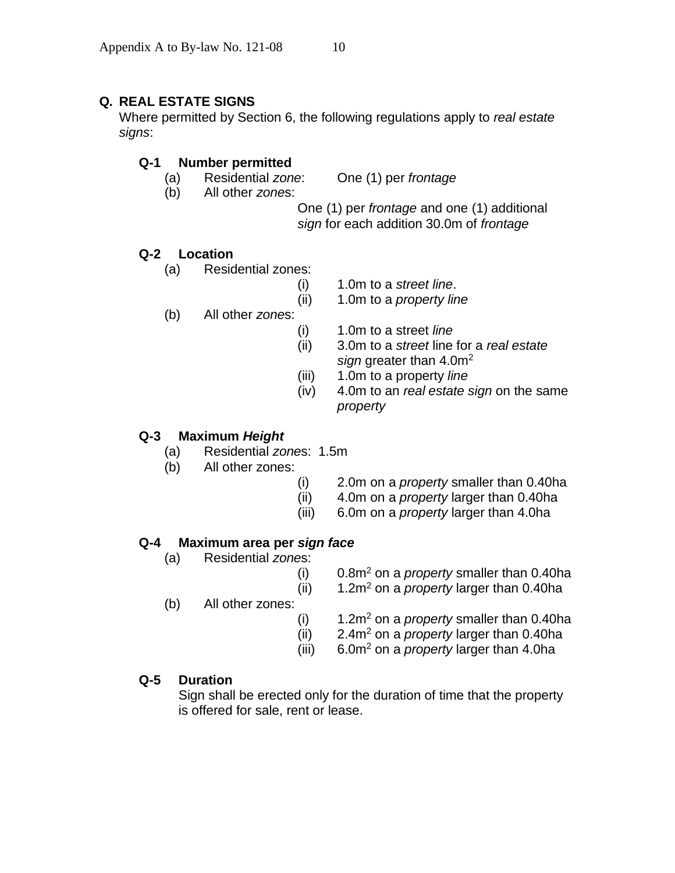## **Q. REAL ESTATE SIGNS**

Where permitted by Section 6, the following regulations apply to *real estate signs*:

#### **Q-1 Number permitted**

(a) Residential *zone*: One (1) per *frontage*

(b) All other *zone*s:

One (1) per *frontage* and one (1) additional *sign* for each addition 30.0m of *frontage*

#### **Q-2 Location**

- (a) Residential zones:
	- (i) 1.0m to a *street line*.
	- (ii) 1.0m to a *property line*
- (b) All other *zone*s:
	- (i) 1.0m to a street *line*
	- (ii) 3.0m to a *street* line for a *real estate sign* greater than 4.0m<sup>2</sup>
	- (iii) 1.0m to a property *line*
	- (iv) 4.0m to an *real estate sign* on the same *property*

## **Q-3 Maximum** *Height*

- (a) Residential *zone*s: 1.5m
- (b) All other zones:
	- (i) 2.0m on a *property* smaller than 0.40ha
	- (ii) 4.0m on a *property* larger than 0.40ha
	- (iii) 6.0m on a *property* larger than 4.0ha

#### **Q-4 Maximum area per** *sign face*

- (a) Residential *zone*s:
	- (i) 0.8m<sup>2</sup> on a *property* smaller than 0.40ha
	- (ii) 1.2m<sup>2</sup> on a *property* larger than 0.40ha
- (b) All other zones:
	- (i) 1.2m<sup>2</sup> on a *property* smaller than 0.40ha
	- (ii) 2.4m<sup>2</sup> on a *property* larger than 0.40ha
	- (iii) 6.0m<sup>2</sup> on a *property* larger than 4.0ha

#### **Q-5 Duration**

Sign shall be erected only for the duration of time that the property is offered for sale, rent or lease.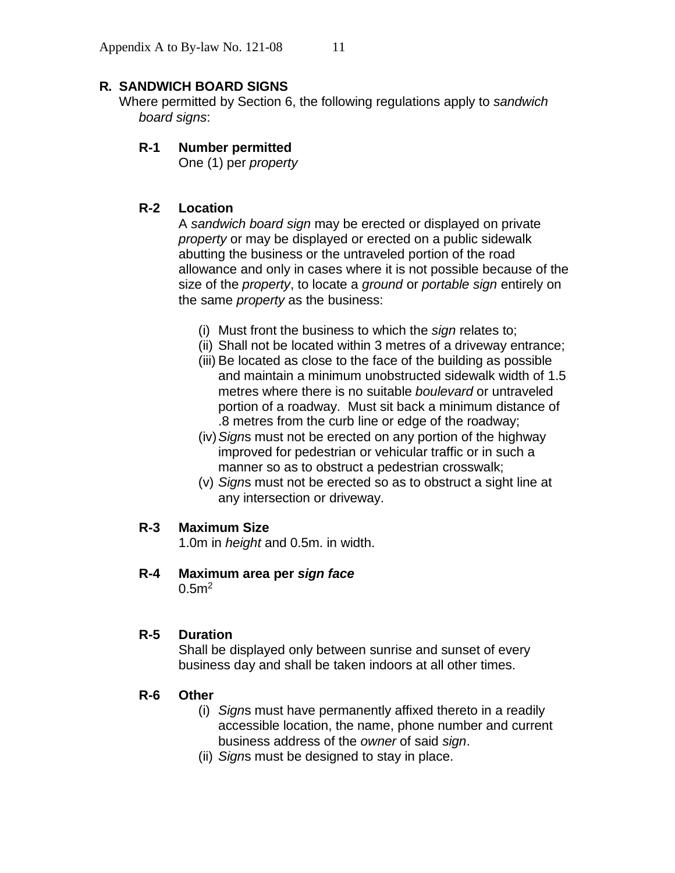## **R. SANDWICH BOARD SIGNS**

Where permitted by Section 6, the following regulations apply to *sandwich board signs*:

## **R-1 Number permitted**

One (1) per *property*

## **R-2 Location**

A *sandwich board sign* may be erected or displayed on private *property* or may be displayed or erected on a public sidewalk abutting the business or the untraveled portion of the road allowance and only in cases where it is not possible because of the size of the *property*, to locate a *ground* or *portable sign* entirely on the same *property* as the business:

- (i) Must front the business to which the *sign* relates to;
- (ii) Shall not be located within 3 metres of a driveway entrance;
- (iii) Be located as close to the face of the building as possible and maintain a minimum unobstructed sidewalk width of 1.5 metres where there is no suitable *boulevard* or untraveled portion of a roadway. Must sit back a minimum distance of .8 metres from the curb line or edge of the roadway;
- (iv)*Sign*s must not be erected on any portion of the highway improved for pedestrian or vehicular traffic or in such a manner so as to obstruct a pedestrian crosswalk;
- (v) *Sign*s must not be erected so as to obstruct a sight line at any intersection or driveway.

#### **R-3 Maximum Size**

1.0m in *height* and 0.5m. in width.

**R-4 Maximum area per** *sign face*

 $0.5<sup>m²</sup>$ 

#### **R-5 Duration**

Shall be displayed only between sunrise and sunset of every business day and shall be taken indoors at all other times.

#### **R-6 Other**

- (i) *Sign*s must have permanently affixed thereto in a readily accessible location, the name, phone number and current business address of the *owner* of said *sign*.
- (ii) *Sign*s must be designed to stay in place.